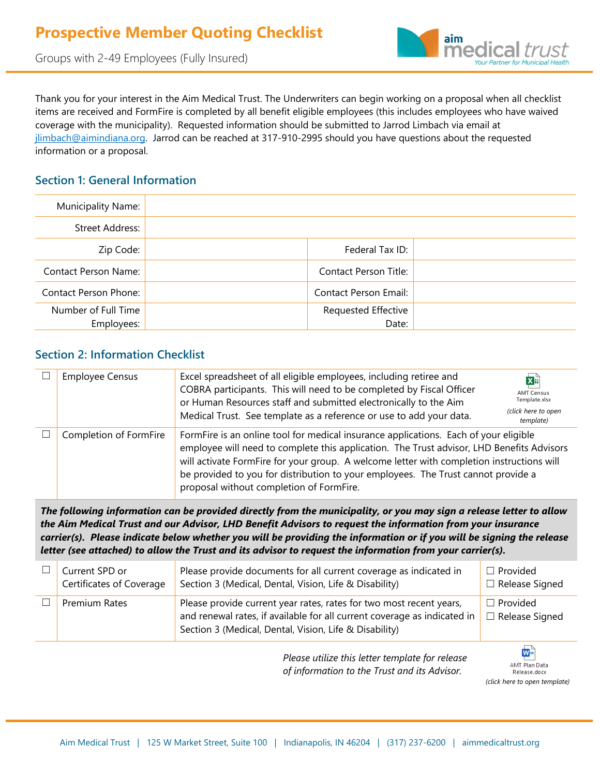# **Prospective Member Quoting Checklist**

Groups with 2-49 Employees (Fully Insured)



Thank you for your interest in the Aim Medical Trust. The Underwriters can begin working on a proposal when all checklist items are received and FormFire is completed by all benefit eligible employees (this includes employees who have waived coverage with the municipality). Requested information should be submitted to Jarrod Limbach via email at jlimbach@aimindiana.org. Jarrod can be reached at 317-910-2995 should you have questions about the requested information or a proposal.

### **Section 1: General Information**

| Municipality Name:          |                       |  |
|-----------------------------|-----------------------|--|
| Street Address:             |                       |  |
| Zip Code:                   | Federal Tax ID:       |  |
| <b>Contact Person Name:</b> | Contact Person Title: |  |
| Contact Person Phone:       | Contact Person Email: |  |
| Number of Full Time         | Requested Effective   |  |
| Employees:                  | Date:                 |  |

#### **Section 2: Information Checklist**

| <b>Employee Census</b> | Excel spreadsheet of all eligible employees, including retiree and<br>COBRA participants. This will need to be completed by Fiscal Officer<br>or Human Resources staff and submitted electronically to the Aim<br>Medical Trust. See template as a reference or use to add your data.                                                                                                                           | 図<br><b>AMT Census</b><br>Template.xlsx<br>(click here to open<br>template) |
|------------------------|-----------------------------------------------------------------------------------------------------------------------------------------------------------------------------------------------------------------------------------------------------------------------------------------------------------------------------------------------------------------------------------------------------------------|-----------------------------------------------------------------------------|
| Completion of FormFire | FormFire is an online tool for medical insurance applications. Each of your eligible<br>employee will need to complete this application. The Trust advisor, LHD Benefits Advisors<br>will activate FormFire for your group. A welcome letter with completion instructions will<br>be provided to you for distribution to your employees. The Trust cannot provide a<br>proposal without completion of FormFire. |                                                                             |

*The following information can be provided directly from the municipality, or you may sign a release letter to allow the Aim Medical Trust and our Advisor, LHD Benefit Advisors to request the information from your insurance carrier(s). Please indicate below whether you will be providing the information or if you will be signing the release letter (see attached) to allow the Trust and its advisor to request the information from your carrier(s).*

| Current SPD or           | Please provide documents for all current coverage as indicated in                                                                                                                                         | $\Box$ Provided       |
|--------------------------|-----------------------------------------------------------------------------------------------------------------------------------------------------------------------------------------------------------|-----------------------|
| Certificates of Coverage | Section 3 (Medical, Dental, Vision, Life & Disability)                                                                                                                                                    | $\Box$ Release Signed |
| Premium Rates            | Please provide current year rates, rates for two most recent years,<br>and renewal rates, if available for all current coverage as indicated in<br>Section 3 (Medical, Dental, Vision, Life & Disability) |                       |

*Please utilize this letter template for release of information to the Trust and its Advisor.*